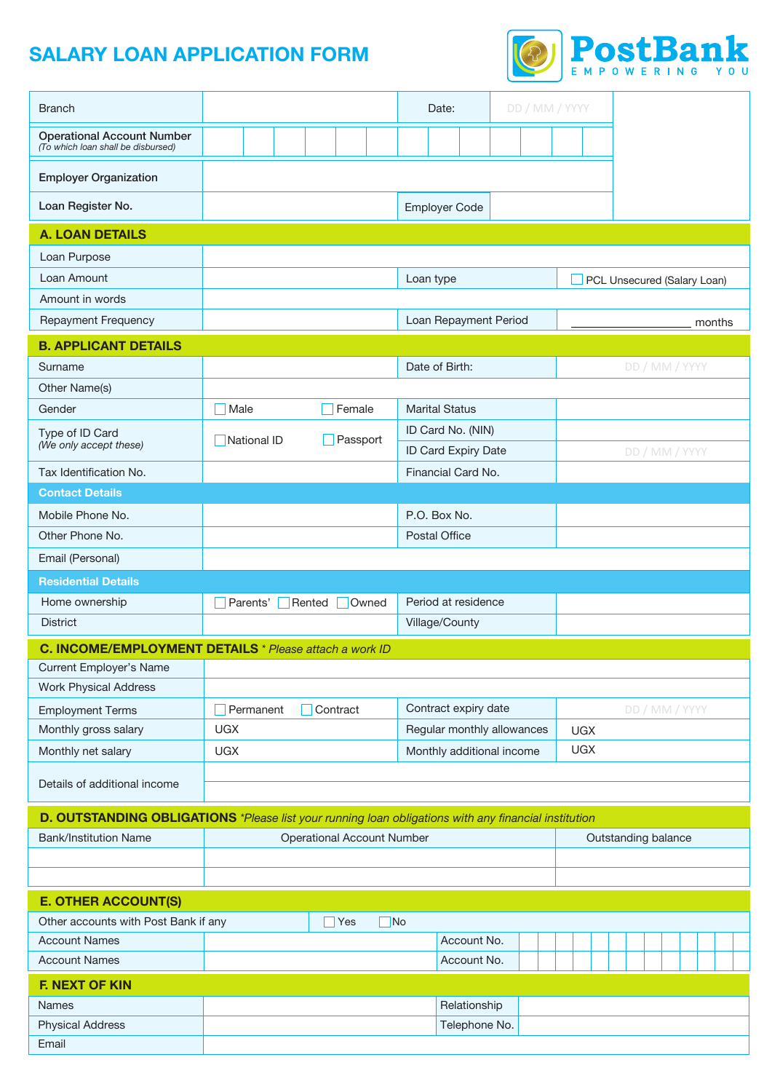# **SALARY LOAN APPLICATION FORM**



| <b>Branch</b>                                                                                        |                                                        | DD / MM / YYYY<br>Date:    |                             |  |  |
|------------------------------------------------------------------------------------------------------|--------------------------------------------------------|----------------------------|-----------------------------|--|--|
| <b>Operational Account Number</b><br>(To which loan shall be disbursed)                              |                                                        |                            |                             |  |  |
| <b>Employer Organization</b>                                                                         |                                                        |                            |                             |  |  |
| Loan Register No.                                                                                    |                                                        | <b>Employer Code</b>       |                             |  |  |
| <b>A. LOAN DETAILS</b>                                                                               |                                                        |                            |                             |  |  |
| Loan Purpose                                                                                         |                                                        |                            |                             |  |  |
| Loan Amount                                                                                          |                                                        | Loan type                  | PCL Unsecured (Salary Loan) |  |  |
| Amount in words                                                                                      |                                                        |                            |                             |  |  |
| Repayment Frequency                                                                                  |                                                        | Loan Repayment Period      | months                      |  |  |
| <b>B. APPLICANT DETAILS</b>                                                                          |                                                        |                            |                             |  |  |
| Surname                                                                                              |                                                        | Date of Birth:             | DD / MM / YYYY              |  |  |
| Other Name(s)                                                                                        |                                                        |                            |                             |  |  |
| Gender                                                                                               | Male<br>Female                                         | <b>Marital Status</b>      |                             |  |  |
| Type of ID Card                                                                                      |                                                        | ID Card No. (NIN)          |                             |  |  |
| (We only accept these)                                                                               | Passport<br><b>National ID</b>                         | ID Card Expiry Date        | DD / MM / YYYY              |  |  |
| Tax Identification No.                                                                               |                                                        | Financial Card No.         |                             |  |  |
| <b>Contact Details</b>                                                                               |                                                        |                            |                             |  |  |
| Mobile Phone No.                                                                                     |                                                        | P.O. Box No.               |                             |  |  |
| Other Phone No.                                                                                      |                                                        | <b>Postal Office</b>       |                             |  |  |
| Email (Personal)                                                                                     |                                                        |                            |                             |  |  |
| <b>Residential Details</b>                                                                           |                                                        |                            |                             |  |  |
| Home ownership                                                                                       | Parents'<br>Rented<br>Owned                            | Period at residence        |                             |  |  |
| <b>District</b>                                                                                      |                                                        | Village/County             |                             |  |  |
|                                                                                                      | C. INCOME/EMPLOYMENT DETAILS * Please attach a work ID |                            |                             |  |  |
| Current Employer's Name                                                                              |                                                        |                            |                             |  |  |
| <b>Work Physical Address</b>                                                                         |                                                        |                            |                             |  |  |
| <b>Employment Terms</b>                                                                              | Permanent<br>Contract                                  | Contract expiry date       | DD / MM / YYYY              |  |  |
| Monthly gross salary                                                                                 | <b>UGX</b>                                             | Regular monthly allowances | <b>UGX</b>                  |  |  |
| Monthly net salary                                                                                   | <b>UGX</b>                                             | Monthly additional income  | <b>UGX</b>                  |  |  |
|                                                                                                      |                                                        |                            |                             |  |  |
| Details of additional income                                                                         |                                                        |                            |                             |  |  |
| D. OUTSTANDING OBLIGATIONS *Please list your running loan obligations with any financial institution |                                                        |                            |                             |  |  |
| <b>Bank/Institution Name</b>                                                                         | <b>Operational Account Number</b>                      |                            | Outstanding balance         |  |  |
|                                                                                                      |                                                        |                            |                             |  |  |
|                                                                                                      |                                                        |                            |                             |  |  |
| <b>E. OTHER ACCOUNT(S)</b>                                                                           |                                                        |                            |                             |  |  |
| Other accounts with Post Bank if any<br>No<br>Yes                                                    |                                                        |                            |                             |  |  |
| <b>Account Names</b>                                                                                 |                                                        | Account No.                |                             |  |  |
| <b>Account Names</b>                                                                                 |                                                        | Account No.                |                             |  |  |
| <b>F. NEXT OF KIN</b>                                                                                |                                                        |                            |                             |  |  |
| <b>Names</b>                                                                                         |                                                        | Relationship               |                             |  |  |
| <b>Physical Address</b>                                                                              |                                                        | Telephone No.              |                             |  |  |
| Email                                                                                                |                                                        |                            |                             |  |  |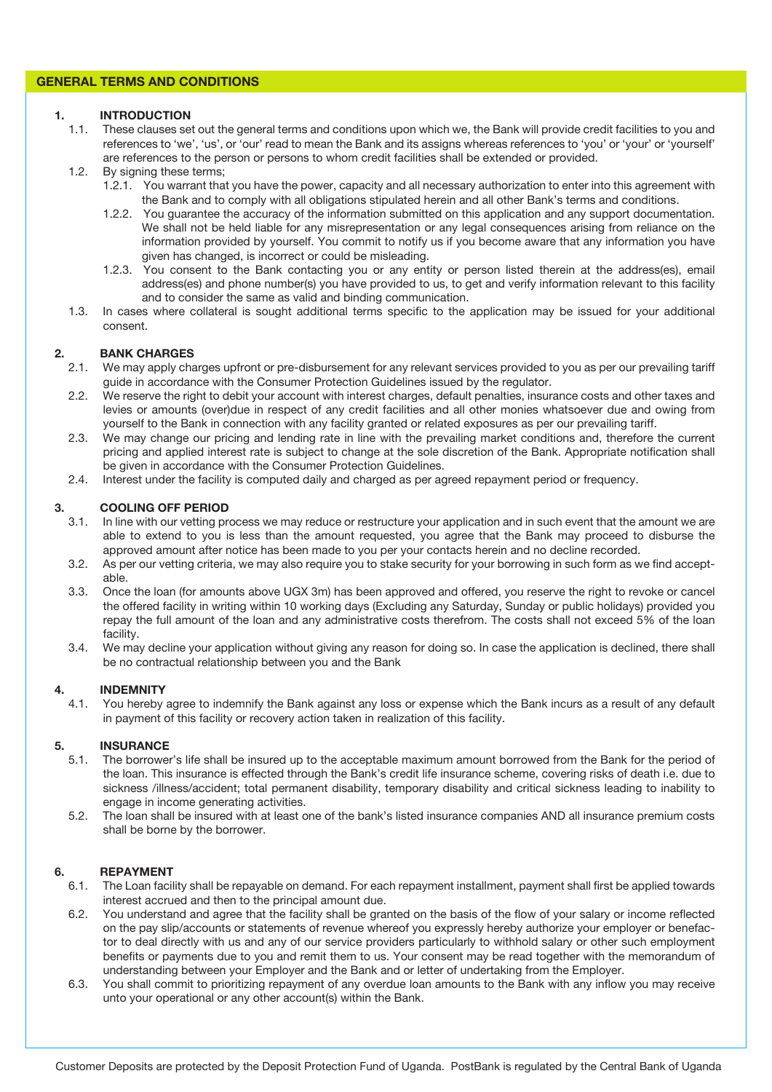## **GENERAL TERMS AND CONDITIONS**

#### **1. INTRODUCTION**

- 1.1. These clauses set out the general terms and conditions upon which we, the Bank will provide credit facilities to you and references to 'we', 'us', or 'our' read to mean the Bank and its assigns whereas references to 'you' or 'your' or 'yourself' are references to the person or persons to whom credit facilities shall be extended or provided.
- 1.2. By signing these terms;
	- 1.2.1. You warrant that you have the power, capacity and all necessary authorization to enter into this agreement with the Bank and to comply with all obligations stipulated herein and all other Bank's terms and conditions.
	- 1.2.2. You guarantee the accuracy of the information submitted on this application and any support documentation. We shall not be held liable for any misrepresentation or any legal consequences arising from reliance on the information provided by yourself. You commit to notify us if you become aware that any information you have given has changed, is incorrect or could be misleading.
	- 1.2.3. You consent to the Bank contacting you or any entity or person listed therein at the address(es), email address(es) and phone number(s) you have provided to us, to get and verify information relevant to this facility and to consider the same as valid and binding communication.
- 1.3. In cases where collateral is sought additional terms specific to the application may be issued for your additional consent.

### **2. BANK CHARGES**

- 2.1. We may apply charges upfront or pre-disbursement for any relevant services provided to you as per our prevailing tariff guide in accordance with the Consumer Protection Guidelines issued by the regulator.
- 2.2. We reserve the right to debit your account with interest charges, default penalties, insurance costs and other taxes and levies or amounts (over)due in respect of any credit facilities and all other monies whatsoever due and owing from yourself to the Bank in connection with any facility granted or related exposures as per our prevailing tariff.
- 2.3. We may change our pricing and lending rate in line with the prevailing market conditions and, therefore the current pricing and applied interest rate is subject to change at the sole discretion of the Bank. Appropriate notification shall be given in accordance with the Consumer Protection Guidelines.
- 2.4. Interest under the facility is computed daily and charged as per agreed repayment period or frequency.

# **3. COOLING OFF PERIOD**

- 3.1. In line with our vetting process we may reduce or restructure your application and in such event that the amount we are able to extend to you is less than the amount requested, you agree that the Bank may proceed to disburse the approved amount after notice has been made to you per your contacts herein and no decline recorded.
- 3.2. As per our vetting criteria, we may also require you to stake security for your borrowing in such form as we find acceptable.
- 3.3. Once the loan (for amounts above UGX 3m) has been approved and offered, you reserve the right to revoke or cancel the offered facility in writing within 10 working days (Excluding any Saturday, Sunday or public holidays) provided you repay the full amount of the loan and any administrative costs therefrom. The costs shall not exceed 5% of the loan facility.
- 3.4. We may decline your application without giving any reason for doing so. In case the application is declined, there shall be no contractual relationship between you and the Bank

#### **4. INDEMNITY**

4.1. You hereby agree to indemnify the Bank against any loss or expense which the Bank incurs as a result of any default in payment of this facility or recovery action taken in realization of this facility.

#### **5. INSURANCE**

- 5.1. The borrower's life shall be insured up to the acceptable maximum amount borrowed from the Bank for the period of the loan. This insurance is effected through the Bank's credit life insurance scheme, covering risks of death i.e. due to sickness /illness/accident; total permanent disability, temporary disability and critical sickness leading to inability to engage in income generating activities.
- 5.2. The loan shall be insured with at least one of the bank's listed insurance companies AND all insurance premium costs shall be borne by the borrower.

### **6. REPAYMENT**

- 6.1. The Loan facility shall be repayable on demand. For each repayment installment, payment shall first be applied towards interest accrued and then to the principal amount due.
- 6.2. You understand and agree that the facility shall be granted on the basis of the flow of your salary or income reflected on the pay slip/accounts or statements of revenue whereof you expressly hereby authorize your employer or benefactor to deal directly with us and any of our service providers particularly to withhold salary or other such employment benefits or payments due to you and remit them to us. Your consent may be read together with the memorandum of understanding between your Employer and the Bank and or letter of undertaking from the Employer.
- 6.3. You shall commit to prioritizing repayment of any overdue loan amounts to the Bank with any inflow you may receive unto your operational or any other account(s) within the Bank.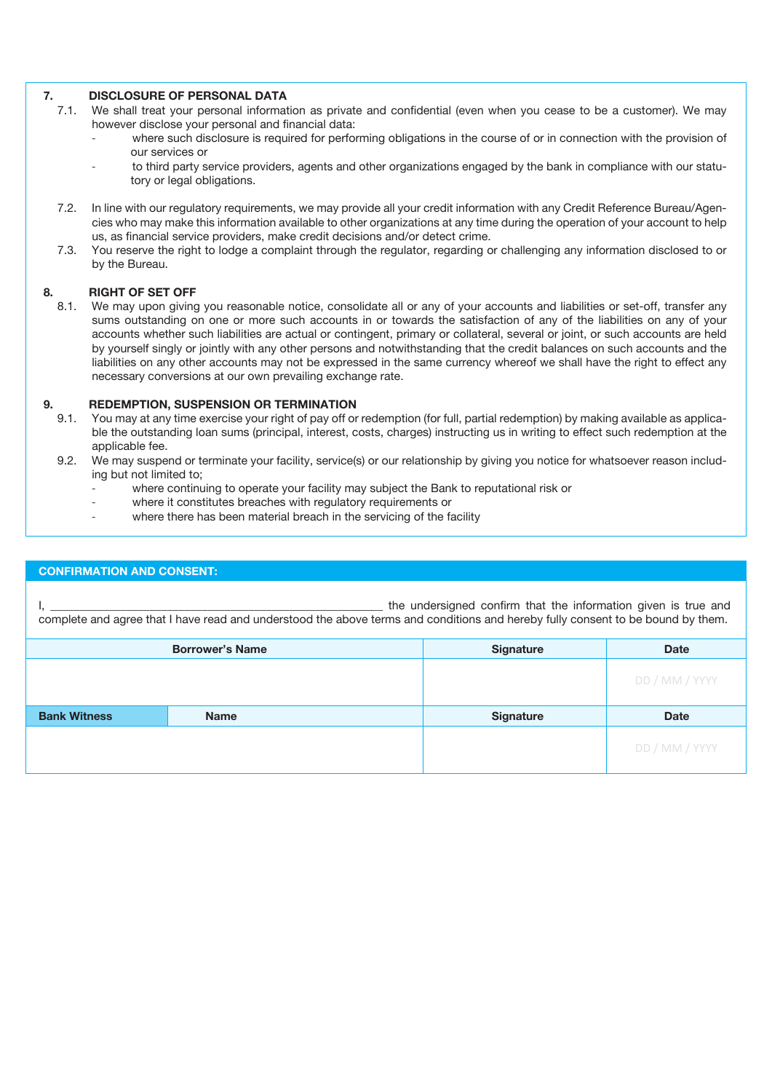# **7. DISCLOSURE OF PERSONAL DATA**<br>**7.1.** We shall treat your personal informat

- 7.1. We shall treat your personal information as private and confidential (even when you cease to be a customer). We may however disclose your personal and financial data:
	- where such disclosure is required for performing obligations in the course of or in connection with the provision of our services or
	- to third party service providers, agents and other organizations engaged by the bank in compliance with our statutory or legal obligations.
- 7.2. In line with our regulatory requirements, we may provide all your credit information with any Credit Reference Bureau/Agencies who may make this information available to other organizations at any time during the operation of your account to help us, as financial service providers, make credit decisions and/or detect crime.
- 7.3. You reserve the right to lodge a complaint through the regulator, regarding or challenging any information disclosed to or by the Bureau.

# **8. RIGHT OF SET OFF**<br>8.1. We may upon giving

We may upon giving you reasonable notice, consolidate all or any of your accounts and liabilities or set-off, transfer any sums outstanding on one or more such accounts in or towards the satisfaction of any of the liabilities on any of your accounts whether such liabilities are actual or contingent, primary or collateral, several or joint, or such accounts are held by yourself singly or jointly with any other persons and notwithstanding that the credit balances on such accounts and the liabilities on any other accounts may not be expressed in the same currency whereof we shall have the right to effect any necessary conversions at our own prevailing exchange rate.

### **9. REDEMPTION, SUSPENSION OR TERMINATION**

- 9.1. You may at any time exercise your right of pay off or redemption (for full, partial redemption) by making available as applicable the outstanding loan sums (principal, interest, costs, charges) instructing us in writing to effect such redemption at the applicable fee.
- 9.2. We may suspend or terminate your facility, service(s) or our relationship by giving you notice for whatsoever reason including but not limited to;
	- where continuing to operate your facility may subject the Bank to reputational risk or
	- where it constitutes breaches with regulatory requirements or
	- where there has been material breach in the servicing of the facility

#### **CONFIRMATION AND CONSENT:**

I, the undersigned confirm that the information given is true and complete and agree that I have read and understood the above terms and conditions and hereby fully consent to be bound by them.

| <b>Borrower's Name</b> |             | <b>Signature</b> | <b>Date</b>    |
|------------------------|-------------|------------------|----------------|
|                        |             |                  | DD / MM / YYYY |
| <b>Bank Witness</b>    | <b>Name</b> | <b>Signature</b> | <b>Date</b>    |
|                        |             |                  | DD / MM / YYYY |